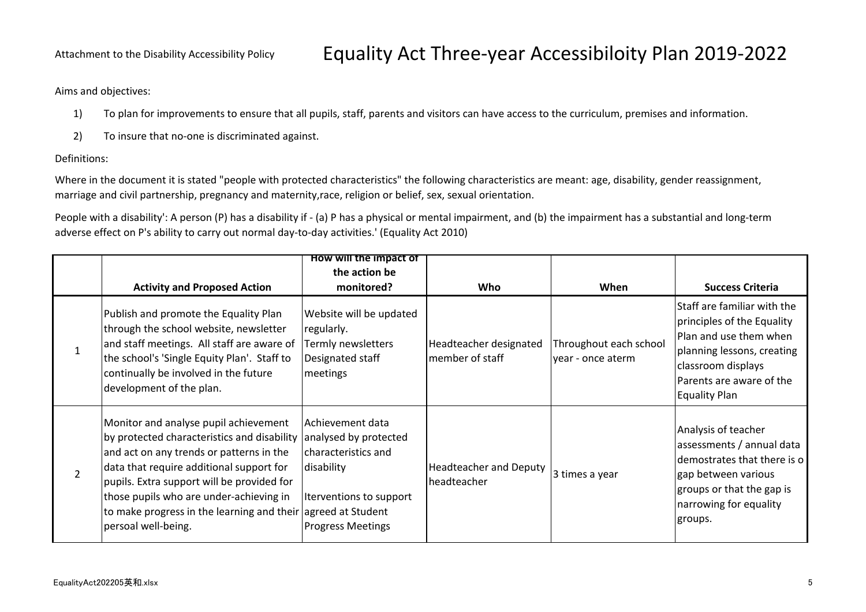Aims and objectives:

- 1) To plan for improvements to ensure that all pupils, staff, parents and visitors can have access to the curriculum, premises and information.
- 2) To insure that no-one is discriminated against.

## Definitions:

Where in the document it is stated "people with protected characteristics" the following characteristics are meant: age, disability, gender reassignment, marriage and civil partnership, pregnancy and maternity,race, religion or belief, sex, sexual orientation.

People with a disability': A person (P) has a disability if - (a) P has a physical or mental impairment, and (b) the impairment has a substantial and long-term adverse effect on P's ability to carry out normal day-to-day activities.' (Equality Act 2010)

|   |                                                                                                                                                                                                                                                                                                                                                              | How will the impact of                                                                                                                |                                              |                                             |                                                                                                                                                                                             |
|---|--------------------------------------------------------------------------------------------------------------------------------------------------------------------------------------------------------------------------------------------------------------------------------------------------------------------------------------------------------------|---------------------------------------------------------------------------------------------------------------------------------------|----------------------------------------------|---------------------------------------------|---------------------------------------------------------------------------------------------------------------------------------------------------------------------------------------------|
|   |                                                                                                                                                                                                                                                                                                                                                              | the action be                                                                                                                         |                                              |                                             |                                                                                                                                                                                             |
|   | <b>Activity and Proposed Action</b>                                                                                                                                                                                                                                                                                                                          | monitored?                                                                                                                            | Who                                          | When                                        | <b>Success Criteria</b>                                                                                                                                                                     |
|   | Publish and promote the Equality Plan<br>through the school website, newsletter<br>and staff meetings. All staff are aware of<br>the school's 'Single Equity Plan'. Staff to<br>continually be involved in the future<br>development of the plan.                                                                                                            | Website will be updated<br>regularly.<br>Termly newsletters<br>Designated staff<br>meetings                                           | Headteacher designated<br>member of staff    | Throughout each school<br>vear - once aterm | Staff are familiar with the<br>principles of the Equality<br>Plan and use them when<br>planning lessons, creating<br>classroom displays<br>Parents are aware of the<br><b>Equality Plan</b> |
| 2 | Monitor and analyse pupil achievement<br>by protected characteristics and disability<br>and act on any trends or patterns in the<br>data that require additional support for<br>pupils. Extra support will be provided for<br>those pupils who are under-achieving in<br>to make progress in the learning and their agreed at Student<br>persoal well-being. | Achievement data<br>analysed by protected<br>characteristics and<br>disability<br>Iterventions to support<br><b>Progress Meetings</b> | <b>Headteacher and Deputy</b><br>headteacher | 3 times a year                              | Analysis of teacher<br>assessments / annual data<br>demostrates that there is o<br>gap between various<br>groups or that the gap is<br>narrowing for equality<br>groups.                    |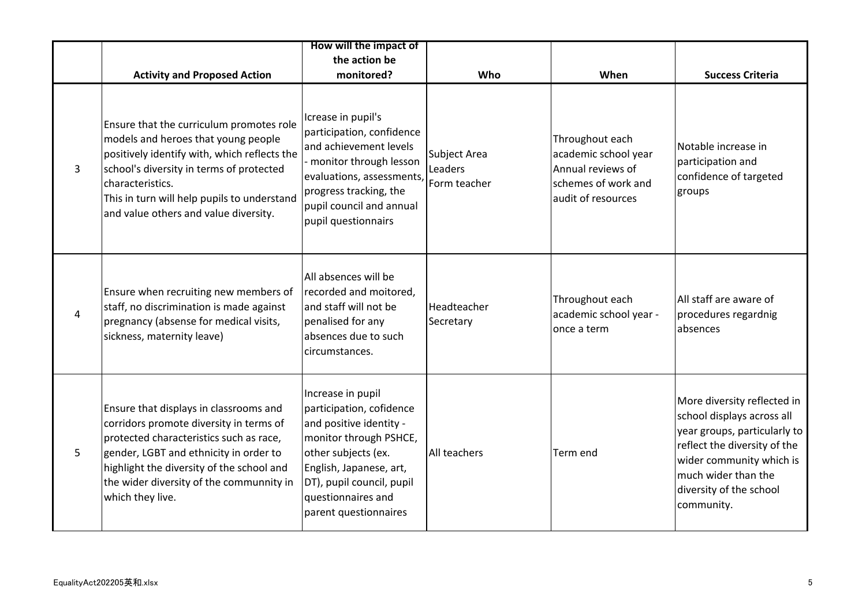|   |                                                                                                                                                                                                                                                                                         | How will the impact of                                                                                                                                                                                                           |                                         |                                                                                                           |                                                                                                                                                                                                                       |
|---|-----------------------------------------------------------------------------------------------------------------------------------------------------------------------------------------------------------------------------------------------------------------------------------------|----------------------------------------------------------------------------------------------------------------------------------------------------------------------------------------------------------------------------------|-----------------------------------------|-----------------------------------------------------------------------------------------------------------|-----------------------------------------------------------------------------------------------------------------------------------------------------------------------------------------------------------------------|
|   |                                                                                                                                                                                                                                                                                         | the action be                                                                                                                                                                                                                    |                                         |                                                                                                           |                                                                                                                                                                                                                       |
|   | <b>Activity and Proposed Action</b>                                                                                                                                                                                                                                                     | monitored?                                                                                                                                                                                                                       | Who                                     | When                                                                                                      | <b>Success Criteria</b>                                                                                                                                                                                               |
| 3 | Ensure that the curriculum promotes role<br>models and heroes that young people<br>positively identify with, which reflects the<br>school's diversity in terms of protected<br>characteristics.<br>This in turn will help pupils to understand<br>and value others and value diversity. | Icrease in pupil's<br>participation, confidence<br>and achievement levels<br>- monitor through lesson<br>evaluations, assessments,<br>progress tracking, the<br>pupil council and annual<br>pupil questionnairs                  | Subject Area<br>Leaders<br>Form teacher | Throughout each<br>academic school year<br>Annual reviews of<br>schemes of work and<br>audit of resources | Notable increase in<br>participation and<br>confidence of targeted<br>groups                                                                                                                                          |
| 4 | Ensure when recruiting new members of<br>staff, no discrimination is made against<br>pregnancy (absense for medical visits,<br>sickness, maternity leave)                                                                                                                               | All absences will be<br>recorded and moitored,<br>and staff will not be<br>penalised for any<br>absences due to such<br>circumstances.                                                                                           | Headteacher<br>Secretary                | Throughout each<br>academic school year -<br>once a term                                                  | All staff are aware of<br>procedures regardnig<br>absences                                                                                                                                                            |
| 5 | Ensure that displays in classrooms and<br>corridors promote diversity in terms of<br>protected characteristics such as race,<br>gender, LGBT and ethnicity in order to<br>highlight the diversity of the school and<br>the wider diversity of the communnity in<br>which they live.     | Increase in pupil<br>participation, cofidence<br>and positive identity -<br>monitor through PSHCE,<br>other subjects (ex.<br>English, Japanese, art,<br>DT), pupil council, pupil<br>questionnaires and<br>parent questionnaires | All teachers                            | Term end                                                                                                  | More diversity reflected in<br>school displays across all<br>year groups, particularly to<br>reflect the diversity of the<br>wider community which is<br>much wider than the<br>diversity of the school<br>community. |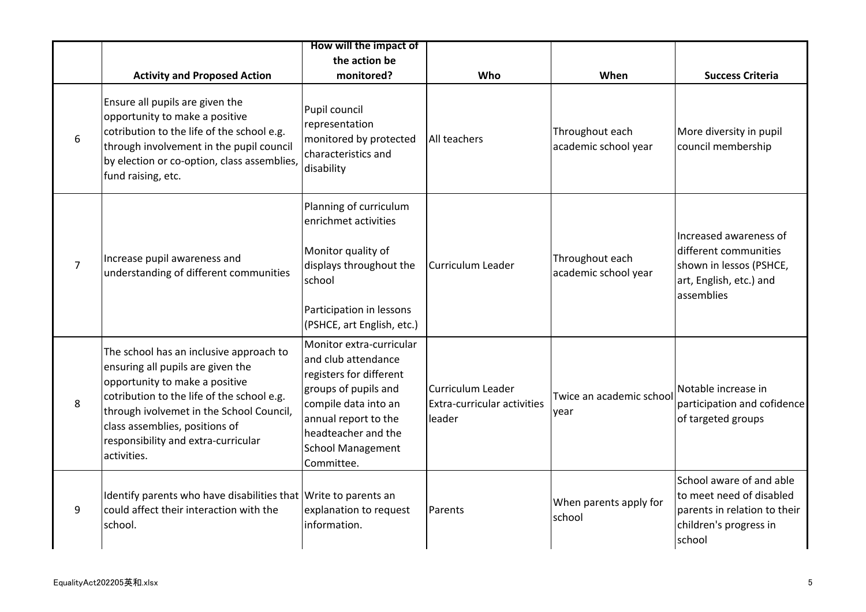|                |                                                                                                                                                                                                                                                                                                  | How will the impact of                                                                                                                                                                                              |                                                                   |                                         |                                                                                                                          |
|----------------|--------------------------------------------------------------------------------------------------------------------------------------------------------------------------------------------------------------------------------------------------------------------------------------------------|---------------------------------------------------------------------------------------------------------------------------------------------------------------------------------------------------------------------|-------------------------------------------------------------------|-----------------------------------------|--------------------------------------------------------------------------------------------------------------------------|
|                |                                                                                                                                                                                                                                                                                                  | the action be                                                                                                                                                                                                       |                                                                   |                                         |                                                                                                                          |
|                | <b>Activity and Proposed Action</b>                                                                                                                                                                                                                                                              | monitored?                                                                                                                                                                                                          | Who                                                               | When                                    | <b>Success Criteria</b>                                                                                                  |
| 6              | Ensure all pupils are given the<br>opportunity to make a positive<br>cotribution to the life of the school e.g.<br>through involvement in the pupil council<br>by election or co-option, class assemblies,<br>fund raising, etc.                                                                 | Pupil council<br>representation<br>monitored by protected<br>characteristics and<br>disability                                                                                                                      | All teachers                                                      | Throughout each<br>academic school year | More diversity in pupil<br>council membership                                                                            |
| $\overline{7}$ | Increase pupil awareness and<br>understanding of different communities                                                                                                                                                                                                                           | Planning of curriculum<br>enrichmet activities<br>Monitor quality of<br>displays throughout the<br>school<br>Participation in lessons<br>(PSHCE, art English, etc.)                                                 | Curriculum Leader                                                 | Throughout each<br>academic school year | Increased awareness of<br>different communities<br>shown in lessos (PSHCE,<br>art, English, etc.) and<br>assemblies      |
| 8              | The school has an inclusive approach to<br>ensuring all pupils are given the<br>opportunity to make a positive<br>cotribution to the life of the school e.g.<br>through ivolvemet in the School Council,<br>class assemblies, positions of<br>responsibility and extra-curricular<br>activities. | Monitor extra-curricular<br>and club attendance<br>registers for different<br>groups of pupils and<br>compile data into an<br>annual report to the<br>headteacher and the<br><b>School Management</b><br>Committee. | <b>Curriculum Leader</b><br>Extra-curricular activities<br>leader | Twice an academic school<br>year        | Notable increase in<br>participation and cofidence<br>of targeted groups                                                 |
| 9              | Identify parents who have disabilities that Write to parents an<br>could affect their interaction with the<br>school.                                                                                                                                                                            | explanation to request<br>information.                                                                                                                                                                              | Parents                                                           | When parents apply for<br>school        | School aware of and able<br>to meet need of disabled<br>parents in relation to their<br>children's progress in<br>school |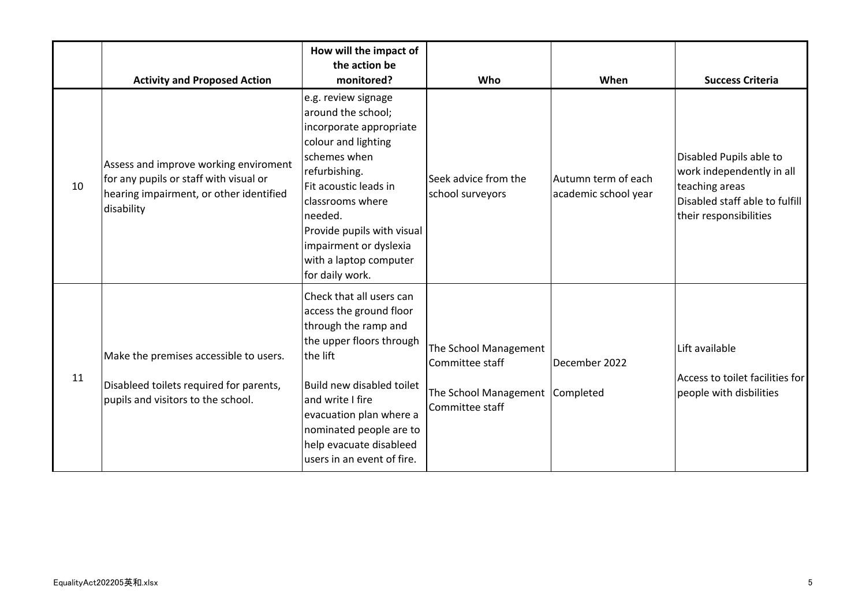|    | <b>Activity and Proposed Action</b>                                                                                                      | How will the impact of<br>the action be<br>monitored?                                                                                                                                                                                                                                     | Who                                                                                            | When                                        | <b>Success Criteria</b>                                                                                                            |
|----|------------------------------------------------------------------------------------------------------------------------------------------|-------------------------------------------------------------------------------------------------------------------------------------------------------------------------------------------------------------------------------------------------------------------------------------------|------------------------------------------------------------------------------------------------|---------------------------------------------|------------------------------------------------------------------------------------------------------------------------------------|
| 10 | Assess and improve working enviroment<br>for any pupils or staff with visual or<br>hearing impairment, or other identified<br>disability | e.g. review signage<br>around the school;<br>incorporate appropriate<br>colour and lighting<br>schemes when<br>refurbishing.<br>Fit acoustic leads in<br>classrooms where<br>needed.<br>Provide pupils with visual<br>impairment or dyslexia<br>with a laptop computer<br>for daily work. | Seek advice from the<br>school surveyors                                                       | Autumn term of each<br>academic school year | Disabled Pupils able to<br>work independently in all<br>teaching areas<br>Disabled staff able to fulfill<br>their responsibilities |
| 11 | Make the premises accessible to users.<br>Disableed toilets required for parents,<br>pupils and visitors to the school.                  | Check that all users can<br>access the ground floor<br>through the ramp and<br>the upper floors through<br>the lift<br>Build new disabled toilet<br>and write I fire<br>evacuation plan where a<br>nominated people are to<br>help evacuate disableed<br>users in an event of fire.       | The School Management<br>Committee staff<br>The School Management Completed<br>Committee staff | December 2022                               | Lift available<br>Access to toilet facilities for<br>people with disbilities                                                       |